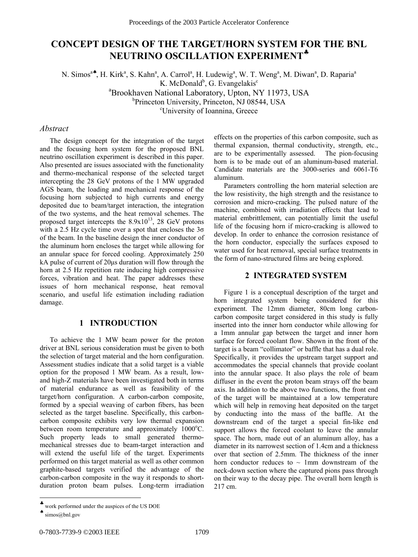# **CONCEPT DESIGN OF THE TARGET/HORN SYSTEM FOR THE BNL NEUTRINO OSCILLATION EXPERIMENT**♣

N. Simos<sup>a</sup><sup>\*</sup>, H. Kirk<sup>a</sup>, S. Kahn<sup>a</sup>, A. Carrol<sup>a</sup>, H. Ludewig<sup>a</sup>, W. T. Weng<sup>a</sup>, M. Diwan<sup>a</sup>, D. Raparia<sup>a</sup> K. McDonald<sup>b</sup>, G. Evangelakis<sup>c</sup> a Brookhaven National Laboratory, Upton, NY 11973, USA b<br>Princeton University, Princeton, NJ 08544, USA University of Ioannina, Greece

# *Abstract*

The design concept for the integration of the target and the focusing horn system for the proposed BNL neutrino oscillation experiment is described in this paper. Also presented are issues associated with the functionality and thermo-mechanical response of the selected target intercepting the 28 GeV protons of the 1 MW upgraded AGS beam, the loading and mechanical response of the focusing horn subjected to high currents and energy deposited due to beam/target interaction, the integration of the two systems, and the heat removal schemes. The proposed target intercepts the  $8.9x10^{13}$ , 28 GeV protons with a 2.5 Hz cycle time over a spot that encloses the  $3\sigma$ of the beam. In the baseline design the inner conductor of the aluminum horn encloses the target while allowing for an annular space for forced cooling. Approximately 250 kA pulse of current of 20µs duration will flow through the horn at 2.5 Hz repetition rate inducing high compressive forces, vibration and heat. The paper addresses these issues of horn mechanical response, heat removal scenario, and useful life estimation including radiation damage.

## **1 INTRODUCTION**

To achieve the 1 MW beam power for the proton driver at BNL serious consideration must be given to both the selection of target material and the horn configuration. Assessment studies indicate that a solid target is a viable option for the proposed 1 MW beam. As a result, lowand high-Z materials have been investigated both in terms of material endurance as well as feasibility of the target/horn configuration. A carbon-carbon composite, formed by a special weaving of carbon fibers, has been selected as the target baseline. Specifically, this carboncarbon composite exhibits very low thermal expansion between room temperature and approximately 1000°C. Such property leads to small generated thermomechanical stresses due to beam-target interaction and will extend the useful life of the target. Experiments performed on this target material as well as other common graphite-based targets verified the advantage of the carbon-carbon composite in the way it responds to shortduration proton beam pulses. Long-term irradiation

Parameters controlling the horn material selection are the low resistivity, the high strength and the resistance to corrosion and micro-cracking. The pulsed nature of the machine, combined with irradiation effects that lead to material embrittlement, can potentially limit the useful life of the focusing horn if micro-cracking is allowed to develop. In order to enhance the corrosion resistance of the horn conductor, especially the surfaces exposed to water used for heat removal, special surface treatments in the form of nano-structured films are being explored.

# **2 INTEGRATED SYSTEM**

Figure 1 is a conceptual description of the target and horn integrated system being considered for this experiment. The 12mm diameter, 80cm long carboncarbon composite target considered in this study is fully inserted into the inner horn conductor while allowing for a 1mm annular gap between the target and inner horn surface for forced coolant flow. Shown in the front of the target is a beam "collimator" or baffle that has a dual role. Specifically, it provides the upstream target support and accommodates the special channels that provide coolant into the annular space. It also plays the role of beam diffuser in the event the proton beam strays off the beam axis. In addition to the above two functions, the front end of the target will be maintained at a low temperature which will help in removing heat deposited on the target by conducting into the mass of the baffle. At the downstream end of the target a special fin-like end support allows the forced coolant to leave the annular space. The horn, made out of an aluminum alloy, has a diameter in its narrowest section of 1.4cm and a thickness over that section of 2.5mm. The thickness of the inner horn conductor reduces to  $\sim$  1mm downstream of the neck-down section where the captured pions pass through on their way to the decay pipe. The overall horn length is 217 cm.

 $\overline{a}$ 

effects on the properties of this carbon composite, such as thermal expansion, thermal conductivity, strength, etc., are to be experimentally assessed. The pion-focusing horn is to be made out of an aluminum-based material. Candidate materials are the 3000-series and 6061-T6 aluminum.

<sup>♣</sup> work performed under the auspices of the US DOE

 $\bullet$  simos@bnl.gov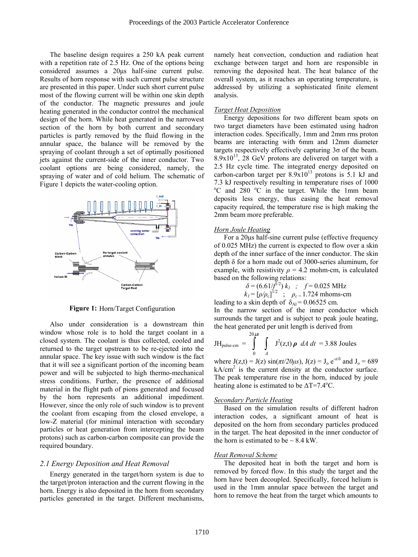The baseline design requires a 250 kA peak current with a repetition rate of 2.5 Hz. One of the options being considered assumes a 20µs half-sine current pulse. Results of horn response with such current pulse structure are presented in this paper. Under such short current pulse most of the flowing current will be within one skin depth of the conductor. The magnetic pressures and joule heating generated in the conductor control the mechanical design of the horn. While heat generated in the narrowest section of the horn by both current and secondary particles is partly removed by the fluid flowing in the annular space, the balance will be removed by the spraying of coolant through a set of optimally positioned jets against the current-side of the inner conductor. Two coolant options are being considered, namely, the spraying of water and of cold helium. The schematic of Figure 1 depicts the water-cooling option.



Figure 1: Horn/Target Configuration

Also under consideration is a downstream thin window whose role is to hold the target coolant in a closed system. The coolant is thus collected, cooled and returned to the target upstream to be re-ejected into the annular space. The key issue with such window is the fact that it will see a significant portion of the incoming beam power and will be subjected to high thermo-mechanical stress conditions. Further, the presence of additional material in the flight path of pions generated and focused by the horn represents an additional impediment. However, since the only role of such window is to prevent the coolant from escaping from the closed envelope, a low-Z material (for minimal interaction with secondary particles or heat generation from intercepting the beam protons) such as carbon-carbon composite can provide the required boundary.

#### *2.1 Energy Deposition and Heat Removal*

Energy generated in the target/horn system is due to the target/proton interaction and the current flowing in the horn. Energy is also deposited in the horn from secondary particles generated in the target. Different mechanisms,

namely heat convection, conduction and radiation heat exchange between target and horn are responsible in removing the deposited heat. The heat balance of the overall system, as it reaches an operating temperature, is addressed by utilizing a sophisticated finite element analysis.

## *Target Heat Deposition*

Energy depositions for two different beam spots on two target diameters have been estimated using hadron interaction codes. Specifically, 1mm and 2mm rms proton beams are interacting with 6mm and 12mm diameter targets respectively effectively capturing  $3\sigma$  of the beam.  $8.9x10^{13}$ , 28 GeV protons are delivered on target with a 2.5 Hz cycle time. The integrated energy deposited on carbon-carbon target per  $8.9x10^{13}$  protons is 5.1 kJ and 7.3 kJ respectively resulting in temperature rises of 1000 <sup>o</sup>C and 280 <sup>o</sup>C in the target. While the 1mm beam deposits less energy, thus easing the heat removal capacity required, the temperature rise is high making the 2mm beam more preferable.

#### *Horn Joule Heating*

For a 20µs half-sine current pulse (effective frequency of 0.025 MHz) the current is expected to flow over a skin depth of the inner surface of the inner conductor. The skin depth δ for a horn made out of 3000-series aluminum, for example, with resistivity  $\rho = 4.2$  mohm-cm, is calculated based on the following relations:

$$
\delta = (6.61/\bar{f}^{1/2}) k_1 ; f = 0.025 \text{ MHz}
$$
  
\n
$$
k_1 = [\rho/\rho_c]^{1/2} ; \rho_c = 1.724 \text{ mhoms-cm}
$$
  
\nleading to a skin depth of  $\delta_{\text{Al}} = 0.06525 \text{ cm.}$ 

In the narrow section of the inner conductor which surrounds the target and is subject to peak joule heating, the heat generated per unit length is derived from

$$
JH_{\text{pulse-cm}} = \int_{0}^{20\,\mu s} \int_{A} J^2(z,t) \rho \ dA \ dt = 3.88 \text{ Joules}
$$

where  $J(z,t) = J(z) \sin(\pi t/20\mu s)$ ,  $J(z) = J_0 e^{-z/\delta}$  and  $J_0 = 689$  $kA/cm<sup>2</sup>$  is the current density at the conductor surface. The peak temperature rise in the horn, induced by joule heating alone is estimated to be  $\Delta T = 7.4$ <sup>o</sup>C.

#### *Secondary Particle Heating*

Based on the simulation results of different hadron interaction codes, a significant amount of heat is deposited on the horn from secondary particles produced in the target. The heat deposited in the inner conductor of the horn is estimated to be  $\sim$  8.4 kW.

#### *Heat Removal Scheme*

The deposited heat in both the target and horn is removed by forced flow. In this study the target and the horn have been decoupled. Specifically, forced helium is used in the 1mm annular space between the target and horn to remove the heat from the target which amounts to